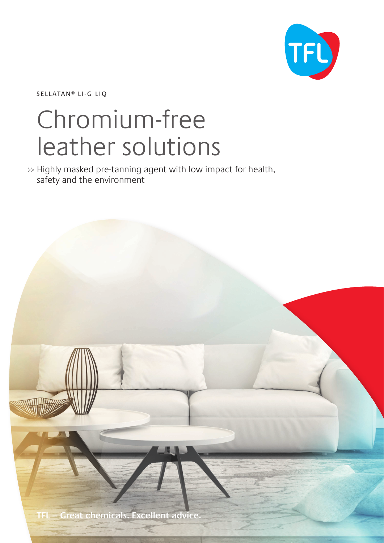

SELLATAN<sup>®</sup> LI-G LIQ

## Chromium-free leather solutions

>> Highly masked pre-tanning agent with low impact for health, safety and the environment

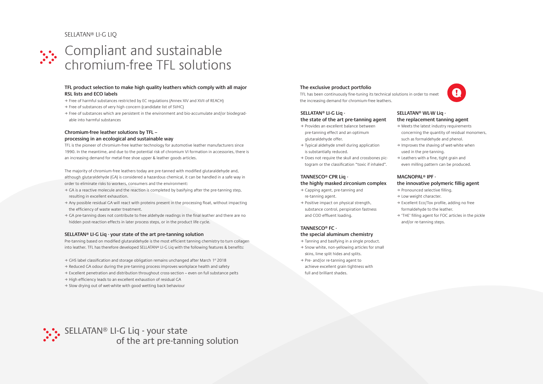# Compliant and sustainable >> chromium-free TFL solutions

#### **TFL product selection to make high quality leathers which comply with all major RSL lists and ECO labels**

- , Free of harmful substances restricted by EC regulations (Annex XIV and XVII of REACH)
- , Free of substances of very high concern (candidate list of SVHC)
- able into harmful substances
- 
- , Free of substances which are persistent in the environment and bio-accumulate and/or biodegrad-

#### **Chromium-free leather solutions by TFL – processing in an ecological and sustainable way**

TFL is the pioneer of chromium-free leather technology for automotive leather manufacturers since 1990. In the meantime, and due to the potential risk of chromium VI formation in accessories, there is an increasing demand for metal-free shoe upper & leather goods articles.

- $\rightarrow$  GA is a reactive molecule and the reaction is completed by basifying after the pre-tanning step, resulting in excellent exhaustion.
- , Any possible residual GA will react with proteins present in the processing float, without impacting the efficiency of waste water treatment.
- , GA pre-tanning does not contribute to free aldehyde readings in the final leather and there are no hidden post-reaction effects in later process steps, or in the product life cycle.

Pre-tanning based on modified glutaraldehyde is the most efficient tanning chemistry to turn collagen into leather. TFL has therefore developed SELLATAN® LI-G Liq with the following features & benefits:

- → GHS label classification and storage obligation remains unchanged after March 1st 2018
- → Reduced GA odour during the pre-tanning process improves workplace health and safety
- , Excellent penetration and distribution throughout cross-section even on full substance pelts
- , High efficiency leads to an excellent exhaustion of residual GA
- → Slow drying out of wet-white with good wetting back behaviour

The majority of chromium-free leathers today are pre-tanned with modified glutaraldehyde and, although glutaraldehyde (GA) is considered a hazardous chemical, it can be handled in a safe way in order to eliminate risks to workers, consumers and the environment:

- $\rightarrow$  Capping agent, pre-tanning and re-tanning agent.
- , Positive impact on physical strength, substance control, perspiration fastness and COD effluent loading.

#### **SELLATAN® LI-G Liq - your state of the art pre-tanning solution**

- $\rightarrow$  Meets the latest industry requirements
- concerning the quantity of residual monomers,
- such as formaldehyde and phenol.
- $\rightarrow$  Improves the shaving of wet-white when
- used in the pre-tanning.
- $\rightarrow$  Leathers with a fine, tight grain and
- even milling pattern can be produced.
- → Pronounced selective filling.
- → Low weight character.
- → Excellent Eco/Tox profile, adding no free
- , 'THE' filling agent for FOC articles in the pickle
- and/or re-tanning steps.

#### **SELLATAN® LI-G Liq -**

#### **the state of the art pre-tanning agent**

- , Provides an excellent balance between pre-tanning effect and an optimum glutaraldehyde offer.
- , Typical aldehyde smell during application is substantially reduced.
- , Does not require the skull and crossbones pictogram or the classification "toxic if inhaled".

#### **TANNESCO® CPR Liq -**

#### **the highly masked zirconium complex**

## **TANNESCO® FC -**

#### **the special aluminum chemistry**

- , Tanning and basifying in a single product.
- , Snow white, non-yellowing articles for small skins, lime split hides and splits.
- , Pre- and/or re-tanning agent to achieve excellent grain tightness with full and brilliant shades.

#### **SELLATAN® WL-W Liq the replacement tanning agent**

#### **MAGNOPAL® IPF the innovative polymeric fillig agent**

- 
- 
- formaldehyde to the leather.
- 
- 
- 
- -
	-
	-



## **The exclusive product portfolio**

TFL has been continuously fine-tuning its technical solutions in order to meet the increasing demand for chromium-free leathers.



### SELLATAN® LI-G LIQ